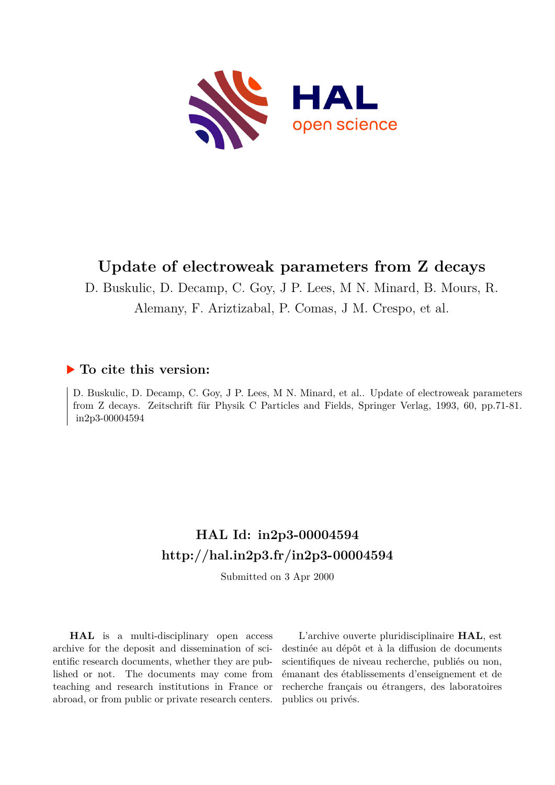

# **Update of electroweak parameters from Z decays**

D. Buskulic, D. Decamp, C. Goy, J P. Lees, M N. Minard, B. Mours, R.

Alemany, F. Ariztizabal, P. Comas, J M. Crespo, et al.

### **To cite this version:**

D. Buskulic, D. Decamp, C. Goy, J P. Lees, M N. Minard, et al.. Update of electroweak parameters from Z decays. Zeitschrift für Physik C Particles and Fields, Springer Verlag, 1993, 60, pp.71-81. in2p3-00004594

# **HAL Id: in2p3-00004594 <http://hal.in2p3.fr/in2p3-00004594>**

Submitted on 3 Apr 2000

**HAL** is a multi-disciplinary open access archive for the deposit and dissemination of scientific research documents, whether they are published or not. The documents may come from teaching and research institutions in France or abroad, or from public or private research centers.

L'archive ouverte pluridisciplinaire **HAL**, est destinée au dépôt et à la diffusion de documents scientifiques de niveau recherche, publiés ou non, émanant des établissements d'enseignement et de recherche français ou étrangers, des laboratoires publics ou privés.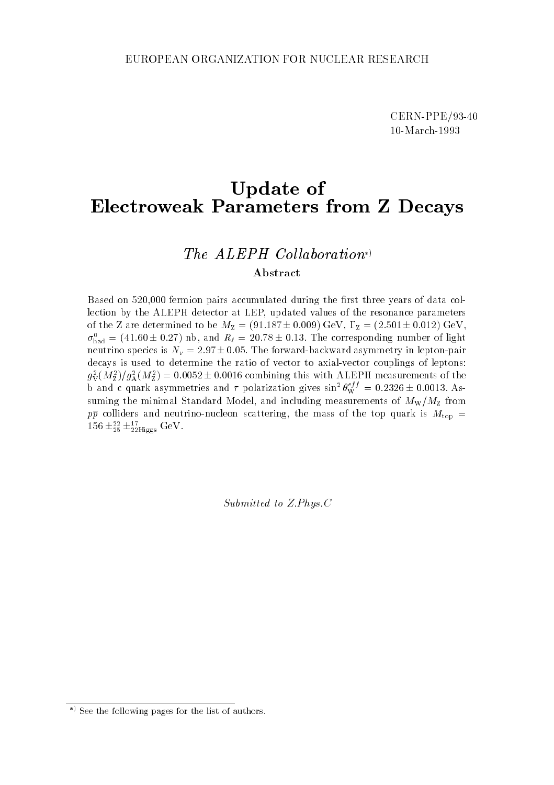CERN-PPE/93-40 10-March-1993

## Update of Electroweak Parameters from <sup>Z</sup> Decays

### The  $ALEPH$  Collaboration\*) Abstract

Based on 520,000 fermion pairs accumulated during the first three years of data collection by the ALEPH detector at LEP, updated values of the resonance parameters of the Z are determined to be  $M_Z = (91.187 \pm 0.009) \text{ GeV}, \Gamma_Z = (2.501 \pm 0.012) \text{ GeV},$  $\sigma_{\text{had}} = (41.60 \pm 0.27)$  nb, and  $R_\ell = 20.78 \pm 0.15$ . The corresponding number of light neutrino species is  $N_{\nu} = 2.97 \pm 0.05$ . The forward-backward asymmetry in lepton-pair decays is used to determine the ratio of vector to axial-vector couplings of leptons:  $g_{\rm V}(M_{\rm Z})/g_{\rm A}(M_{\rm Z})=$  0.0052 ± 0.0016 combining this with ALEPH measurements of the b and c quark asymmetries and  $\tau$  polarization gives  $\sin^2 \theta_{\rm W}^{\rm 2,2} = 0.2326 \pm 0.0013$ . Assuming the minimal Standard Model, and including measurements of  $M_{\rm W}/M_{\rm Z}$  from pp colliders and neutrino-nucleon scattering, the mass of the top quark is Mtop <sup>=</sup> 156  $\pm_{25}$   $\pm_{22}$ Higgs GeV.

Submitted to Z.Phys.C

<sup>)</sup> See the following pages for the list of authors.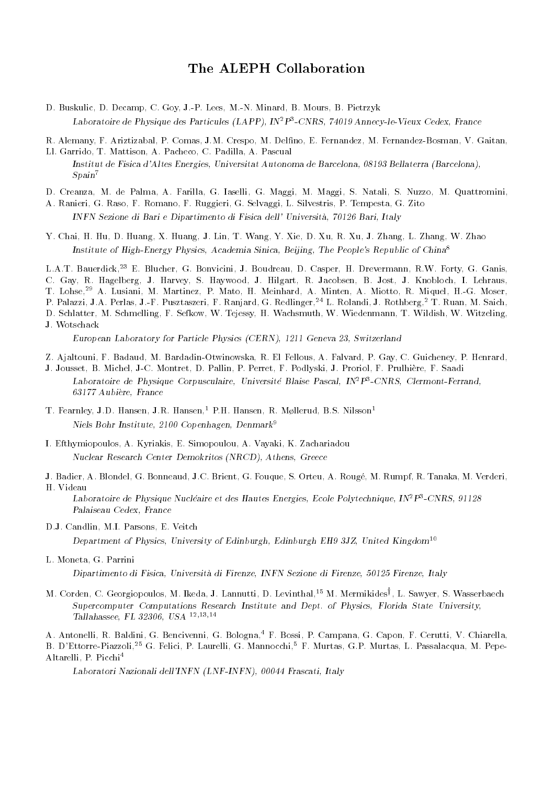### The ALEPH Collaboration

- D. Buskulic, D. Decamp, C. Goy, J.-P. Lees, M.-N. Minard, B. Mours, B. Pietrzyk Laboratoire de Physique des Particules (LAPP), IN2P3 -CNRS, 74019 Annecy-le-Vieux Cedex, France
- R. Alemany, F. Ariztizabal, P. Comas, J.M. Crespo, M. Delno, E. Fernandez, M. Fernandez-Bosman, V. Gaitan,
- Ll. Garrido, T. Mattison, A. Pacheco, C. Padilla, A. Pascual Institut de Fisica d'Altes Energies, Universitat Autonoma de Barcelona, 08193 Bellaterra (Barcelona),  $Span<sup>7</sup>$
- D. Creanza, M. de Palma, A. Farilla, G. Iaselli, G. Maggi, M. Maggi, S. Natali, S. Nuzzo, M. Quattromini,
- A. Ranieri, G. Raso, F. Romano, F. Ruggieri, G. Selvaggi, L. Silvestris, P. Tempesta, G. Zito INFN Sezione di Bari e Dipartimento di Fisica dell' Universita, 70126 Bari, Italy
- Y. Chai, H. Hu, D. Huang, X. Huang, J. Lin, T. Wang, Y. Xie, D. Xu, R. Xu, J. Zhang, L. Zhang, W. Zhao Institute of High-Energy Physics, Academia Sinica, Beijing, The People's Republic of China<sup>8</sup>

L.A.T. Bauerdick,<sup>23</sup> E. Blucher, G. Bonvicini, J. Boudreau, D. Casper, H. Drevermann, R.W. Forty, G. Ganis, C. Gay, R. Hagelberg, J. Harvey, S. Haywood, J. Hilgart, R. Jacobsen, B. Jost, J. Knobloch, I. Lehraus, T. Lohse,<sup>29</sup> A. Lusiani, M. Martinez, P. Mato, H. Meinhard, A. Minten, A. Miotto, R. Miquel, H.-G. Moser, P. Palazzi, J.A. Perlas, J.-F. Pusztaszeri, F. Ranjard, G. Redlinger,<sup>24</sup> L. Rolandi, J. Rothberg,<sup>2</sup> T. Ruan, M. Saich, D. Schlatter, M. Schmelling, F. Sefkow, W. Tejessy, H. Wachsmuth, W. Wiedenmann, T. Wildish, W. Witzeling, J. Wotschack

European Laboratory for Particle Physics (CERN), 1211 Geneva 23, Switzerland

- Z. Ajaltouni, F. Badaud, M. Bardadin-Otwinowska, R. El Fellous, A. Falvard, P. Gay, C. Guicheney, P. Henrard,
- J. Jousset, B. Michel, J-C. Montret, D. Pallin, P. Perret, F. Podlyski, J. Proriol, F. Prulhiere, F. Saadi Laboratoire de Physique Corpusculaire, Universite Blaise Pascal, INTP-CNRS, Clermont-Ferrand, 63177 Aubiere, France
- T. Fearnley, J.D. Hansen, J.R. Hansen,<sup>1</sup> P.H. Hansen, R. Møllerud, B.S. Nilsson<sup>1</sup> Niels Bohr Institute, 2100 Copenhagen, Denmark<sup>9</sup>
- I. Efthymiopoulos, A. Kyriakis, E. Simopoulou, A. Vayaki, K. Zachariadou Nuclear Research Center Demokritos (NRCD), Athens, Greece
- J. Badier, A. Blondel, G. Bonneaud, J.C. Brient, G. Fouque, S. Orteu, A. Rouge, M. Rumpf, R. Tanaka, M. Verderi, H. Videau

Laboratoire de Physique Nucleaire et des Hautes Energies, Ecole Polytechnique, IN<sup>-</sup>P<sup>-</sup>-CNRS, 91128 Palaiseau Cedex, France

D.J. Candlin, M.I. Parsons, E. Veitch

Department of Physics, University of Edinburgh, Edinburgh EH9 3JZ, United Kingdom<sup>10</sup>

L. Moneta, G. Parrini

Dipartimento di Fisica, Universita di Firenze, INFN Sezione di Firenze, 50125 Firenze, Italy

M. Corden, C. Georgiopoulos, M. Ikeda, J. Lannutti, D. Levinthal,<sup>15</sup> M. Mermikidesy , L. Sawyer, S. Wasserbaech Supercomputer Computations Research Institute and Dept. of Physics, Florida State University, Tallahassee, FL 32306, USA $^{\rm 12,13,14}$ 

A. Antonelli, R. Baldini, G. Bencivenni, G. Bologna,<sup>4</sup> F. Bossi, P. Campana, G. Capon, F. Cerutti, V. Chiarella, B. D'Ettorre-Piazzoli,25 G. Felici, P. Laurelli, G. Mannocchi,5 F. Murtas, G.P. Murtas, L. Passalacqua, M. Pepe-Altarelli, P. Picchi4

Laboratori Nazionali dell'INFN (LNF-INFN), 00044 Frascati, Italy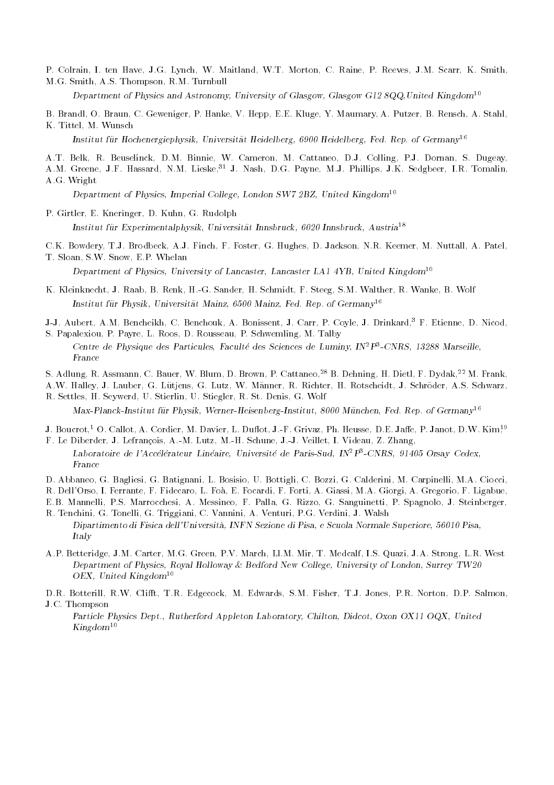P. Colrain, I. ten Have, J.G. Lynch, W. Maitland, W.T. Morton, C. Raine, P. Reeves, J.M. Scarr, K. Smith, M.G. Smith, A.S. Thompson, R.M. Turnbull

Department of Physics and Astronomy, University of Glasgow, Glasgow G12 8QQ, United Kingdom<sup>10</sup>

- B. Brandl, O. Braun, C. Geweniger, P. Hanke, V. Hepp, E.E. Kluge, Y. Maumary, A. Putzer, B. Rensch, A. Stahl,
- K. Tittel, M. Wunsch Institut für Hochenergiephysik, Universität Heidelberg, 6900 Heidelberg, Fed. Rep. of Germany<sup>16</sup>
- A.T. Belk, R. Beuselinck, D.M. Binnie, W. Cameron, M. Cattaneo, D.J. Colling, P.J. Dornan, S. Dugeay,
- A.M. Greene, J.F. Hassard, N.M. Lieske, 31 J. Nash, D.G. Payne, M.J. Phillips, J.K. Sedgbeer, I.R. Tomalin, A.G. Wright

Department of Physics, Imperial College, London SW7 2BZ, United Kingdom<sup>10</sup>

P. Girtler, E. Kneringer, D. Kuhn, G. Rudolph

Institut fur Experimentalphysik, Universitat Innsbruck, 6020 Innsbruck, Austria<sup>18</sup>

C.K. Bowdery, T.J. Brodbeck, A.J. Finch, F. Foster, G. Hughes, D. Jackson, N.R. Keemer, M. Nuttall, A. Patel, T. Sloan, S.W. Snow, E.P. Whelan

Department of Physics, University of Lancaster, Lancaster LA1 4YB, United Kingdom<sup>10</sup>

- K. Kleinknecht, J. Raab, B. Renk, H.-G. Sander, H. Schmidt, F. Steeg, S.M. Walther, R. Wanke, B. Wolf Institut fur Physik, Universitat Mainz, 6500 Mainz, Fed. Rep. of Germany<sup>16</sup>
- J-J. Aubert, A.M. Bencheikh, C. Benchouk, A. Bonissent, J. Carr, P. Coyle, J. Drinkard,<sup>3</sup> F. Etienne, D. Nicod,
- S. Papalexiou, P. Payre, L. Roos, D. Rousseau, P. Schwemling, M. Talby Centre de Physique des Particules, Faculte des Sciences de Luminy, IN<sup>2</sup>P<sup>3</sup>-CNRS, 13288 Marseille,
- S. Adlung, R. Assmann, C. Bauer, W. Blum, D. Brown, P. Cattaneo,<sup>28</sup> B. Dehning, H. Dietl, F. Dydak,22 M. Frank,
- A.W. Halley, J. Lauber, G. Lutjens, G. Lutz, W. Manner, R. Richter, H. Rotscheidt, J. Schroder, A.S. Schwarz, R. Settles, H. Seywerd, U. Stierlin, U. Stiegler, R. St. Denis, G. Wolf
- $Max-Planck-Institut für Physik, Werner-Heisenberg-Institut, 8000 München, Fed. Rep. of Germany<sup>16</sup>$
- J. Boucrot,<sup>1</sup> O. Callot, A. Cordier, M. Davier, L. Duflot, J.-F. Grivaz, Ph. Heusse, D.E. Jaffe, P. Janot, D.W. Kim<sup>19</sup> F. Le Diberder, J. Lefrancois, A.-M. Lutz, M.-H. Schune, J.-J. Veillet, I. Videau, Z. Zhang,
- Laboratoire de l'Accélérateur Linéaire, Université de Paris-Sud, IN<sup>2</sup>P<sup>3</sup>-CNRS, 91405 Orsay Cedex, France
- D. Abbaneo, G. Bagliesi, G. Batignani, L. Bosisio, U. Bottigli, C. Bozzi, G. Calderini, M. Carpinelli, M.A. Ciocci,
- R. Dell'Orso, I. Ferrante, F. Fidecaro, L. Foa, E. Focardi, F. Forti, A. Giassi, M.A. Giorgi, A. Gregorio, F. Ligabue,
- E.B. Mannelli, P.S. Marrocchesi, A. Messineo, F. Palla, G. Rizzo, G. Sanguinetti, P. Spagnolo, J. Steinberger, R. Tenchini, G. Tonelli, G. Triggiani, C. Vannini, A. Venturi, P.G. Verdini, J. Walsh
- Dipartimento di Fisica dell'Universita, INFN Sezione di Pisa, e Scuola Normale Superiore, 56010 Pisa, Italy
- A.P. Betteridge, J.M. Carter, M.G. Green, P.V. March, Ll.M. Mir, T. Medcalf, I.S. Quazi, J.A. Strong, L.R. West Department of Physics, Royal Holloway & Bedford New College, University of London, Surrey TW20 OEX, United Kingdom $^{10}$
- D.R. Botterill, R.W. Clifft, T.R. Edgecock, M. Edwards, S.M. Fisher, T.J. Jones, P.R. Norton, D.P. Salmon, J.C. Thompson
	- Particle Physics Dept., Rutherford Appleton Laboratory, Chilton, Didcot, Oxon OX11 OQX, United  $Kingdom^{10}$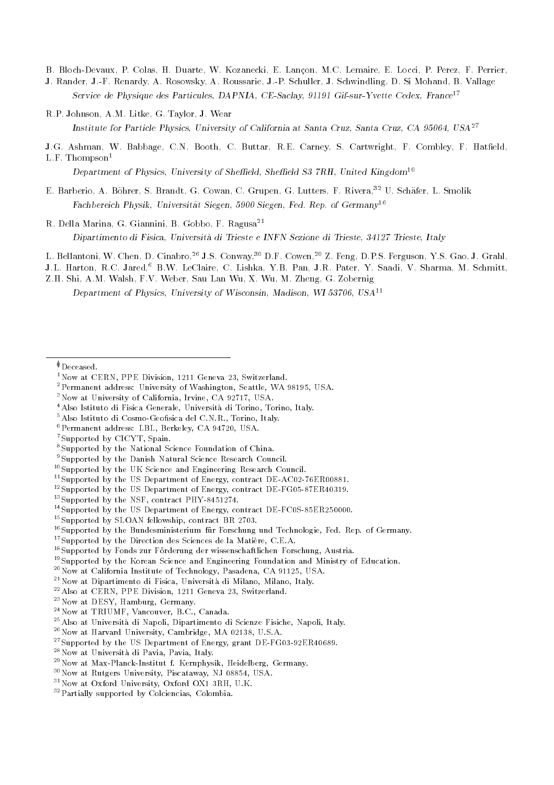B. Bloch-Devaux, P. Colas, H. Duarte, W. Kozanecki, E. Lancon, M.C. Lemaire, E. Locci, P. Perez, F. Perrier,

J. Rander, J.-F. Renardy, A. Rosowsky, A. Roussarie, J.-P. Schuller, J. Schwindling, D. Si Mohand, B. Vallage Service de Physique des Particules, DAPNIA, CE-Saclay, 91191 Gif-sur-Yvette Cedex, France<sup>17</sup>

R.P. Johnson, A.M. Litke, G. Taylor, J. Wear

Institute for Particle Physics, University of California at Santa Cruz, Santa Cruz, CA 95064, USA<sup>27</sup>

J.G. Ashman, W. Babbage, C.N. Booth, C. Buttar, R.E. Carney, S. Cartwright, F. Combley, F. Hatfield,  $L.F.$  Thompson<sup>1</sup>

Department of Physics, University of Sheffield, Sheffield S3 7RH, United Kingdom<sup>10</sup>

- E. Barberio, A. Böhrer, S. Brandt, G. Cowan, C. Grupen, G. Lutters, F. Rivera,<sup>32</sup> U. Schäfer, L. Smolik Fachbereich Physik, Universität Siegen, 5900 Siegen, Fed. Rep. of Germany<sup>16</sup>
- R. Della Marina, G. Giannini, B. Gobbo, F. Ragusa<sup>21</sup>

Dipartimento di Fisica, Universita di Trieste e INFN Sezione di Trieste, 34127 Trieste, Italy

L. Bellantoni, W. Chen, D. Cinabro, 26 J.S. Conway, 30 D.F. Cowen, 20 Z. Feng, D.P.S. Ferguson, Y.S. Gao, J. Grahl,

J.L. Harton, R.C. Jared,<sup>6</sup> B.W. LeClaire, C. Lishka, Y.B. Pan, J.R. Pater, Y. Saadi, V. Sharma, M. Schmitt,

Z.H. Shi, A.M. Walsh, F.V. Weber, Sau Lan Wu, X. Wu, M. Zheng, G. Zobernig

Department of Physics, University of Wisconsin, Madison, WI 53706, USA11

- $^{5}\mathrm{Also}\,$ Istituto di Cosmo-Geofisica del C.N.R., Torino, Italy.
- 6Permanent address: LBL, Berkeley, CA 94720, USA.
- 7Supported by CICYT, Spain.

- <sup>11</sup>Supported by the US Department of Energy, contract DE-AC02-76ER00881.
- <sup>12</sup>Supported by the US Department of Energy, contract DE-FG05-87ER40319.
- 13Supported by the NSF, contract PHY-8451274.
- 14Supported by the US Department of Energy, contract DE-FC0S-85ER250000.
- 15Supported by SLOAN fellowship, contract BR 2703.

<sup>17</sup>Supported by the Direction des Sciences de la Matière, C.E.A.

- 19Supported by the Korean Science and Engineering Foundation and Ministry of Education.
- 20Now at California Institute of Technology, Pasadena, CA 91125, USA.
- 21Now at Dipartimento di Fisica, Universita di Milano, Milano, Italy.
- 22Also at CERN, PPE Division, 1211 Geneva 23, Switzerland.
- 23Now at DESY, Hamburg, Germany.
- 24Now at TRIUMF, Vancouver, B.C., Canada.
- 25Also at Universita di Napoli, Dipartimento di Scienze Fisiche, Napoli, Italy.
- 26Now at Harvard University, Cambridge, MA 02138, U.S.A.
- <sup>27</sup>Supported by the US Department of Energy, grant DE-FG03-92ER40689.
- 28Now at Universita di Pavia, Pavia, Italy.
- 29Now at Max-Planck-Institut f. Kernphysik, Heidelberg, Germany.
- 30Now at Rutgers University, Piscataway, NJ 08854, USA.
- <sup>31</sup>Now at Oxford University, Oxford OX1 3RH, U.K.
- 32Partially supported by Colciencias, Colombia.

 $\Phi$ Deceased.

<sup>&</sup>lt;sup>1</sup>Now at CERN, PPE Division, 1211 Geneva 23, Switzerland.

<sup>2</sup>Permanent address: University of Washington, Seattle, WA 98195, USA.

<sup>3</sup>Now at University of California, Irvine, CA 92717, USA.

<sup>4</sup>Also Istituto di Fisica Generale, Universita di Torino, Torino, Italy.

<sup>8</sup>Supported by the National Science Foundation of China.

<sup>9</sup>Supported by the Danish Natural Science Research Council.

<sup>10</sup>Supported by the UK Science and Engineering Research Council.

 $16$ Supported by the Bundesministerium für Forschung und Technologie, Fed. Rep. of Germany.

<sup>&</sup>lt;sup>18</sup>Supported by Fonds zur Förderung der wissenschaftlichen Forschung, Austria.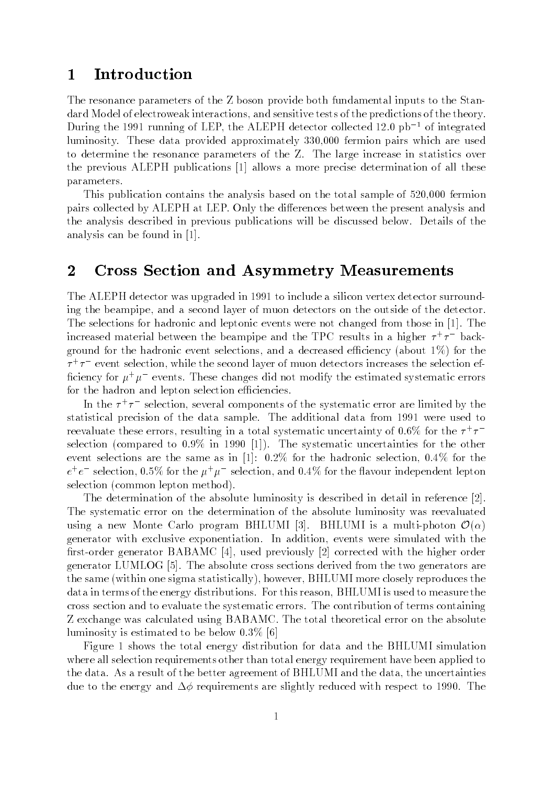## 1 Introduction

The resonance parameters of the Z boson provide both fundamental inputs to the Standard Model of electroweak interactions, and sensitive tests of the predictions of the theory. During the 1991 running of LEP, the ALEPH detector collected 12.0  $pb^{-1}$  of integrated luminosity. These data provided approximately 330,000 fermion pairs which are used to determine the resonance parameters of the Z. The large increase in statistics over the previous ALEPH publications [1] allows a more precise determination of all these parameters.

This publication contains the analysis based on the total sample of 520,000 fermion pairs collected by ALEPH at LEP. Only the differences between the present analysis and the analysis described in previous publications will be discussed below. Details of the analysis can be found in [1].

### 2 Cross Section and Asymmetry Measurements

The ALEPH detector was upgraded in 1991 to include a silicon vertex detector surrounding the beampipe, and a second layer of muon detectors on the outside of the detector. The selections for hadronic and leptonic events were not changed from those in [1]. The increased material between the beampipe and the TPU results in a higher  $\tau$  +  $\tau$  - background for the hadronic event selections, and a decreased efficiency (about  $1\%$ ) for the  $\tau$  +  $\tau$  - event selection, while the second layer of muon detectors increases the selection efinciency for  $\mu^+\mu^-$  events. These changes did not modify the estimated systematic errors for the hadron and lepton selection efficiencies.

In the <sup>+</sup> selection, several components of the systematic error are limited by the statistical precision of the data sample. The additional data from 1991 were used to reevaluate these errors, resulting in a total systematic uncertainty of 0.6% for the  $\tau$  +  $\tau$ selection (compared to 0.9% in 1990 [1]). The systematic uncertainties for the other event selections are the same as in [1]: 0.2% for the hadronic selection, 0.4% for the  $e^+e^-$  selection,  $0.5\%$  for the  $\mu^+\mu^-$  selection, and  $0.4\%$  for the havour independent lepton selection (common lepton method).

The determination of the absolute luminosity is described in detail in reference [2]. The systematic error on the determination of the absolute luminosity was reevaluated using a new Monte Carlo program BHLUMI [3]. BHLUMI is a multi-photon  $\mathcal{O}(\alpha)$ generator with exclusive exponentiation. In addition, events were simulated with the first-order generator BABAMC [4], used previously [2] corrected with the higher order generator LUMLOG [5]. The absolute cross sections derived from the two generators are the same (within one sigma statistically), however, BHLUMI more closely reproduces the data in terms of the energy distributions. For this reason, BHLUMI is used to measure the cross section and to evaluate the systematic errors. The contribution of terms containing Z exchange was calculated using BABAMC. The total theoretical error on the absolute luminosity is estimated to be below  $0.3\%$  [6]

Figure 1 shows the total energy distribution for data and the BHLUMI simulation where all selection requirements other than total energy requirement have been applied to the data. As a result of the better agreement of BHLUMI and the data, the uncertainties due to the energy and  $\Delta\phi$  requirements are slightly reduced with respect to 1990. The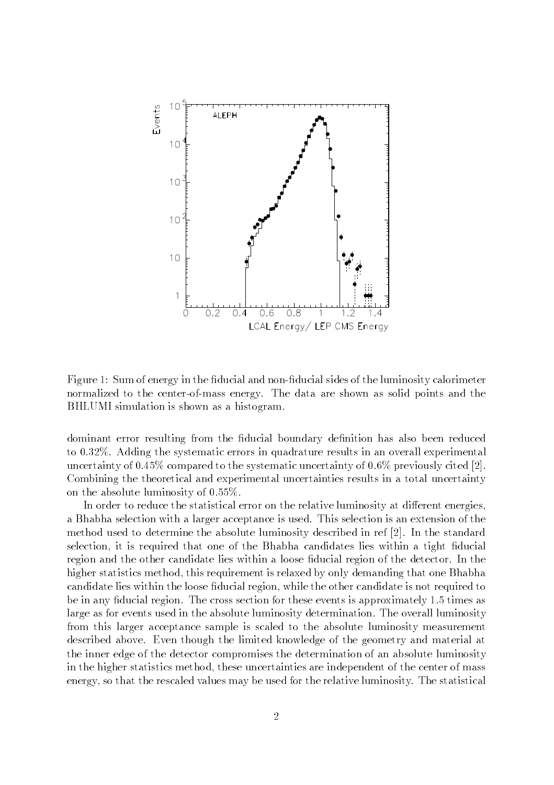

Figure 1: Sum of energy in the fiducial and non-fiducial sides of the luminosity calorimeter normalized to the center-of-mass energy. The data are shown as solid points and the BHLUMI simulation is shown as a histogram.

dominant error resulting from the fiducial boundary definition has also been reduced to 0.32%. Adding the systematic errors in quadrature results in an overall experimental uncertainty of  $0.45\%$  compared to the systematic uncertainty of  $0.6\%$  previously cited [2]. Combining the theoretical and experimental uncertainties results in a total uncertainty on the absolute luminosity of 0:55%.

In order to reduce the statistical error on the relative luminosity at different energies, a Bhabha selection with a larger acceptance is used. This selection is an extension of the method used to determine the absolute luminosity described in ref [2]. In the standard selection, it is required that one of the Bhabha candidates lies within a tight fiducial region and the other candidate lies within a loose ducial region of the detector. In the higher statistics method, this requirement is relaxed by only demanding that one Bhabha candidate lies within the loose fiducial region, while the other candidate is not required to be in any fiducial region. The cross section for these events is approximately 1.5 times as large as for events used in the absolute luminosity determination. The overall luminosity from this larger acceptance sample is scaled to the absolute luminosity measurement described above. Even though the limited knowledge of the geometry and material at the inner edge of the detector compromises the determination of an absolute luminosity in the higher statistics method, these uncertainties are independent of the center of mass energy, so that the rescaled values may be used for the relative luminosity. The statistical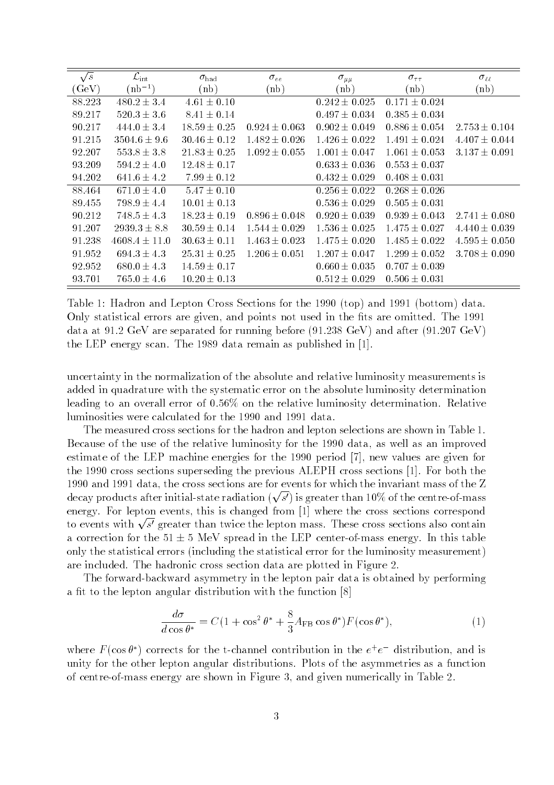| $\sqrt{s}$       | $\mathcal{L}_{\rm int}$ | $\sigma_{\rm had}$ | $\sigma_{ee}$     | $\sigma_{\mu\mu}$ | $\sigma_{\tau\tau}$ | $\sigma_{\ell\ell}$ |
|------------------|-------------------------|--------------------|-------------------|-------------------|---------------------|---------------------|
| $(\mathrm{GeV})$ | $(hb^{-1})$             | (h)                | (h)               | (nb)              | (nb)                | (nb)                |
| 88.223           | $480.2 \pm 3.4$         | $4.61 \pm 0.10$    |                   | $0.242 \pm 0.025$ | $0.171 \pm 0.024$   |                     |
| 89.217           | $520.3 \pm 3.6$         | $8.41 \pm 0.14$    |                   | $0.497 \pm 0.034$ | $0.385 \pm 0.034$   |                     |
| 90.217           | $444.0 \pm 3.4$         | $18.59 \pm 0.25$   | $0.924 \pm 0.063$ | $0.902 + 0.049$   | $0.886 \pm 0.054$   | $2.753 \pm 0.104$   |
| 91.215           | $3504.6 \pm 9.6$        | $30.46 \pm 0.12$   | $1.482 \pm 0.026$ | $1.426 \pm 0.022$ | $1.491 \pm 0.024$   | $4.407 \pm 0.044$   |
| 92.207           | $553.8 \pm 3.8$         | $21.83 \pm 0.25$   | $1.092 \pm 0.055$ | $1.001 \pm 0.047$ | $1.061 \pm 0.053$   | $3.137 \pm 0.091$   |
| 93.209           | $594.2 \pm 4.0$         | $12.48 \pm 0.17$   |                   | $0.633 \pm 0.036$ | $0.553 \pm 0.037$   |                     |
| 94.202           | $641.6 \pm 4.2$         | $7.99 \pm 0.12$    |                   | $0.432 \pm 0.029$ | $0.408 \pm 0.031$   |                     |
| 88.464           | $671.0 \pm 4.0$         | $5.47 \pm 0.10$    |                   | $0.256 + 0.022$   | $0.268 \pm 0.026$   |                     |
| 89.455           | $798.9 \pm 4.4$         | $10.01 \pm 0.13$   |                   | $0.536 \pm 0.029$ | $0.505 \pm 0.031$   |                     |
| 90.212           | $748.5 \pm 4.3$         | $18.23 \pm 0.19$   | $0.896 \pm 0.048$ | $0.920 \pm 0.039$ | $0.939 \pm 0.043$   | $2.741 \pm 0.080$   |
| 91.207           | $2939.3 \pm 8.8$        | $30.59 \pm 0.14$   | $1.544 \pm 0.029$ | $1.536 + 0.025$   | $1.475 \pm 0.027$   | $4.440 \pm 0.039$   |
| 91.238           | $4608.4 \pm 11.0$       | $30.63 \pm 0.11$   | $1.463 \pm 0.023$ | $1.475 \pm 0.020$ | $1.485 \pm 0.022$   | $4.595 \pm 0.050$   |
| 91.952           | $694.3 \pm 4.3$         | $25.31 \pm 0.25$   | $1.206 + 0.051$   | $1.207 \pm 0.047$ | $1.299 \pm 0.052$   | $3.708 \pm 0.090$   |
| 92.952           | $680.0 \pm 4.3$         | $14.59 \pm 0.17$   |                   | $0.660 \pm 0.035$ | $0.707 \pm 0.039$   |                     |
| 93.701           | $765.0 \pm 4.6$         | $10.20 \pm 0.13$   |                   | $0.512 \pm 0.029$ | $0.506 \pm 0.031$   |                     |

Table 1: Hadron and Lepton Cross Sections for the 1990 (top) and 1991 (bottom) data. Only statistical errors are given, and points not used in the fits are omitted. The 1991 data at 91.2 GeV are separated for running before (91.238 GeV) and after (91.207 GeV) the LEP energy scan. The 1989 data remain as published in [1].

uncertainty in the normalization of the absolute and relative luminosity measurements is added in quadrature with the systematic error on the absolute luminosity determination leading to an overall error of 0:56% on the relative luminosity determination. Relative luminosities were calculated for the 1990 and 1991 data.

The measured cross sections for the hadron and lepton selections are shown in Table 1. Because of the use of the relative luminosity for the 1990 data, as well as an improved estimate of the LEP machine energies for the 1990 period [7], new values are given for the 1990 cross sections superseding the previous ALEPH cross sections [1]. For both the 1990 and 1991 data, the cross sections are for events for which the invariant mass of the Z decay products after initial-state radiation  $(\sqrt{s'})$  is greater than 10% of the centre-of-mass energy. For lepton events, this is changed from [1] where the cross sections correspond to events with  $\sqrt{s'}$  greater than twice the lepton mass. These cross sections also contain a correction for the  $51 \pm 5$  MeV spread in the LEP center-of-mass energy. In this table only the statistical errors (including the statistical error for the luminosity measurement) are included. The hadronic cross section data are plotted in Figure 2.

The forward-backward asymmetry in the lepton pair data is obtained by performing a fit to the lepton angular distribution with the function  $[8]$ 

$$
\frac{d\sigma}{d\cos\theta^*} = C(1 + \cos^2\theta^* + \frac{8}{3}A_{\text{FB}}\cos\theta^*)F(\cos\theta^*),\tag{1}
$$

where  $\Gamma$  (cos  $\sigma$  ) corrects for the t-channel contribution in the  $e^+e^-$  distribution, and is unity for the other lepton angular distributions. Plots of the asymmetries as a function of centre-of-mass energy are shown in Figure 3, and given numerically in Table 2.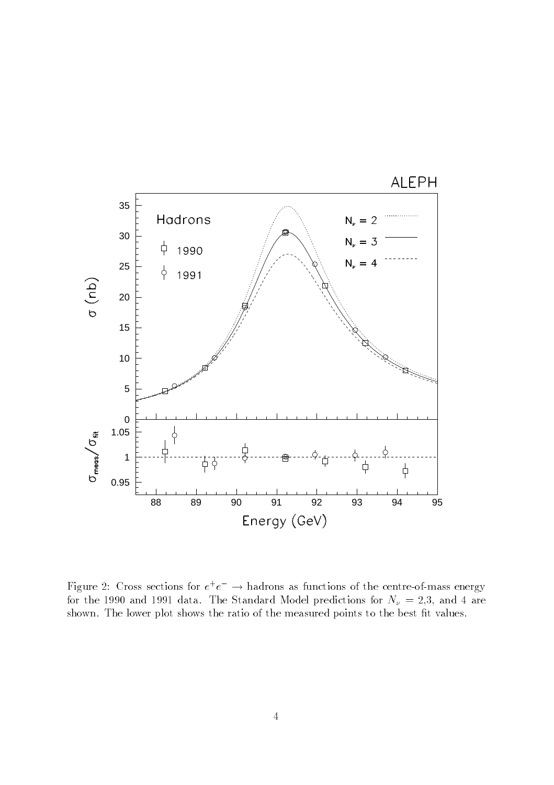

rigure 2: Uross sections for  $e^+e^-\to$  hadrons as functions of the centre-of-mass energy for the 1990 and 1991 data. The Standard Model predictions for  $N_{\nu} = 2.3$ , and 4 are shown. The lower plot shows the ratio of the measured points to the best fit values.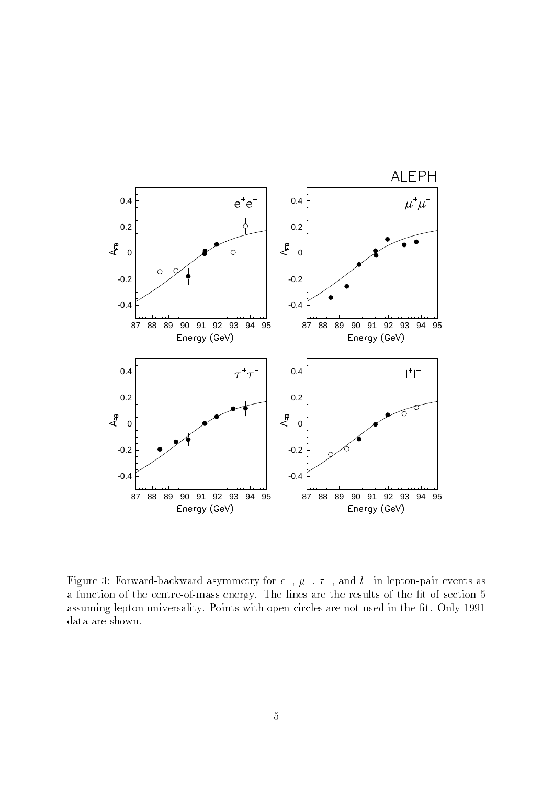

Figure 3: Forward-backward asymmetry for  $e$  ,  $\mu$  ,  $\tau$  , and  $\iota$  in lepton-pair events as a function of the centre-of-mass energy. The lines are the results of the fit of section 5 assuming lepton universality. Points with open circles are not used in the fit. Only 1991 data are shown.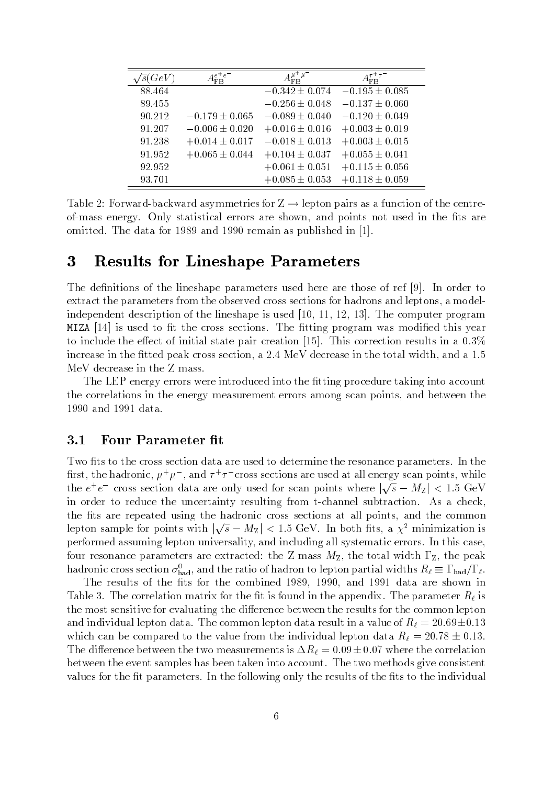| $\overline{s}(GeV)$ | $e^+e$             |                    | $\tau^+ \tau$      |
|---------------------|--------------------|--------------------|--------------------|
| 88.464              |                    | $-0.342 \pm 0.074$ | $-0.195 \pm 0.085$ |
| 89.455              |                    | $-0.256 \pm 0.048$ | $-0.137 \pm 0.060$ |
| 90.212              | $-0.179 \pm 0.065$ | $-0.089 \pm 0.040$ | $-0.120 \pm 0.049$ |
| 91.207              | $-0.006 \pm 0.020$ | $+0.016 \pm 0.016$ | $+0.003 \pm 0.019$ |
| 91.238              | $+0.014 \pm 0.017$ | $-0.018 \pm 0.013$ | $+0.003 \pm 0.015$ |
| 91.952              | $+0.065 \pm 0.044$ | $+0.104 \pm 0.037$ | $+0.055 \pm 0.041$ |
| 92.952              |                    | $+0.061 \pm 0.051$ | $+0.115 \pm 0.056$ |
| 93.701              |                    | $+0.085 \pm 0.053$ | $+0.118 \pm 0.059$ |

Table 2: Forward-backward asymmetries for  $Z \rightarrow$  lepton pairs as a function of the centreof-mass energy. Only statistical errors are shown, and points not used in the fits are omitted. The data for 1989 and 1990 remain as published in [1].

### 3 Results for Lineshape Parameters

The definitions of the lineshape parameters used here are those of ref [9]. In order to extract the parameters from the observed cross sections for hadrons and leptons, a modelindependent description of the lineshape is used [10, 11, 12, 13]. The computer program MIZA  $[14]$  is used to fit the cross sections. The fitting program was modified this year to include the effect of initial state pair creation [15]. This correction results in a  $0.3\%$ increase in the fitted peak cross section, a 2.4 MeV decrease in the total width, and a 1.5 MeV decrease in the Z mass.

The LEP energy errors were introduced into the fitting procedure taking into account the correlations in the energy measurement errors among scan points, and between the 1990 and 1991 data.

#### $3.1$ Four Parameter fit

Two fits to the cross section data are used to determine the resonance parameters. In the first, the hadronic,  $\mu^+\mu^-$  , and  $\tau^+\tau^-$  cross sections are used at all energy scan points, while the  $e^+e^-$  cross section data are only used for scan points where  $|\sqrt{s} - M_Z| < 1.5$  GeV in order to reduce the uncertainty resulting from t-channel subtraction. As a check, the fits are repeated using the hadronic cross sections at all points, and the common lepton sample for points with  $|\sqrt{s} - M_Z| < 1.5$  GeV. In both fits, a  $\chi^2$  minimization is performed assuming lepton universality, and including all systematic errors. In this case, four resonance parameters are extracted: the Z mass  $M_{\rm Z}$ , the total width  $\Gamma_{\rm Z}$ , the peak hadronic cross section  $o_{\rm had}$ , and the ratio of hadron to lepton partial widths  $n_\ell =$  1  $_{\rm had}/$  f  $_\ell$ .

The results of the fits for the combined 1989, 1990, and 1991 data are shown in Table 3. The correlation matrix for the fit is found in the appendix. The parameter  $R_\ell$  is the most sensitive for evaluating the difference between the results for the common lepton and individual lepton data. The common lepton data result in a value of  $R_\ell = 20.69 \pm 0.13$ which can be compared to the value from the individual lepton data  $R_\ell = 20.78 \pm 0.13$ . The difference between the two measurements is  $\Delta R_\ell = 0.09\pm0.07$  where the correlation between the event samples has been taken into account. The two methods give consistent values for the fit parameters. In the following only the results of the fits to the individual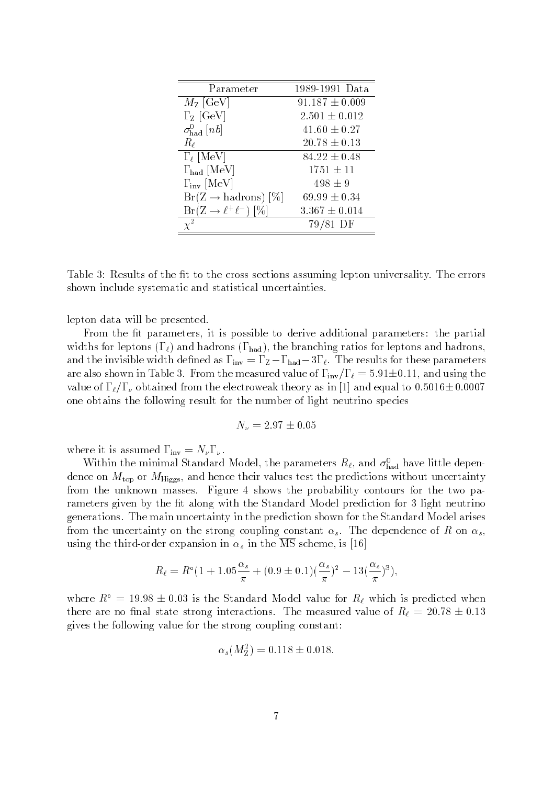| Parameter                       | 1989-1991 Data     |
|---------------------------------|--------------------|
| $M_{\rm Z}$ [GeV]               | $91.187 \pm 0.009$ |
| $\Gamma$ <sub>Z</sub> [GeV]     | $2.501 \pm 0.012$  |
| $\sigma_{\text{had}}^0$ [nb]    | $41.60 \pm 0.27$   |
| $R_{\ell}$                      | $20.78 \pm 0.13$   |
| $\Gamma_{\ell}$ [MeV]           | $84.22 \pm 0.48$   |
| $\Gamma_{\rm had}$ [MeV]        | $1751 \pm 11$      |
| $\Gamma_{\text{inv}}$ [MeV]     | $498 \pm 9$        |
| $Br(Z \rightarrow hadrons)$ [%] | $69.99 \pm 0.34$   |
| $Br(Z \to \ell^+ \ell^-) [\%]$  | $3.367 \pm 0.014$  |
|                                 | 81 DF              |

Table 3: Results of the fit to the cross sections assuming lepton universality. The errors shown include systematic and statistical uncertainties.

lepton data will be presented.

From the fit parameters, it is possible to derive additional parameters: the partial widths for leptons  $(\Gamma_\ell)$  and hadrons  $(\Gamma_{\text{had}})$ , the branching ratios for leptons and hadrons, and the invisible width defined as  $\Gamma_{\text{inv}} = \Gamma_{\text{Z}} - \Gamma_{\text{had}} - 3\Gamma_{\ell}$ . The results for these parameters are also shown in Table 3. From the measured value of  $\Gamma_{\text{inv}}/\Gamma_{\ell}=5.91\pm0.11$ , and using the value of  $\Gamma_{\ell}/\Gamma_{\nu}$  obtained from the electroweak theory as in [1] and equal to  $0.5016\pm0.0007$ one obtains the following result for the number of light neutrino species

$$
N_\nu=2.97\pm0.05
$$

where it is assumed  $\Gamma_{\text{inv}} = N_{\nu} \Gamma_{\nu}$ .

within the minimal Standard Model, the parameters  $n_\ell$ , and  $\sigma_{\text{had}}$  have nulle dependence on  $M_{\text{top}}$  or  $M_{\text{Higgs}}$ , and hence their values test the predictions without uncertainty from the unknown masses. Figure 4 shows the probability contours for the two parameters given by the fit along with the Standard Model prediction for 3 light neutrino generations. The main uncertainty in the prediction shown for the Standard Model arises from the uncertainty on the strong coupling constant  $\alpha_s$ . The dependence of R on  $\alpha_s$ , using the third-order expansion in  $\alpha_s$  in the  $\overline{\text{MS}}$  scheme, is [16]

$$
R_{\ell} = R^{\circ} (1 + 1.05 \frac{\alpha_s}{\pi} + (0.9 \pm 0.1)(\frac{\alpha_s}{\pi})^2 - 13(\frac{\alpha_s}{\pi})^3),
$$

where  $R^{\circ} = 19.98 \pm 0.03$  is the Standard Model value for  $R_{\ell}$  which is predicted when there are no final state strong interactions. The measured value of  $R_\ell = 20.78 \pm 0.13$ gives the following value for the strong coupling constant:

$$
\alpha_s(M_Z^2) = 0.118 \pm 0.018.
$$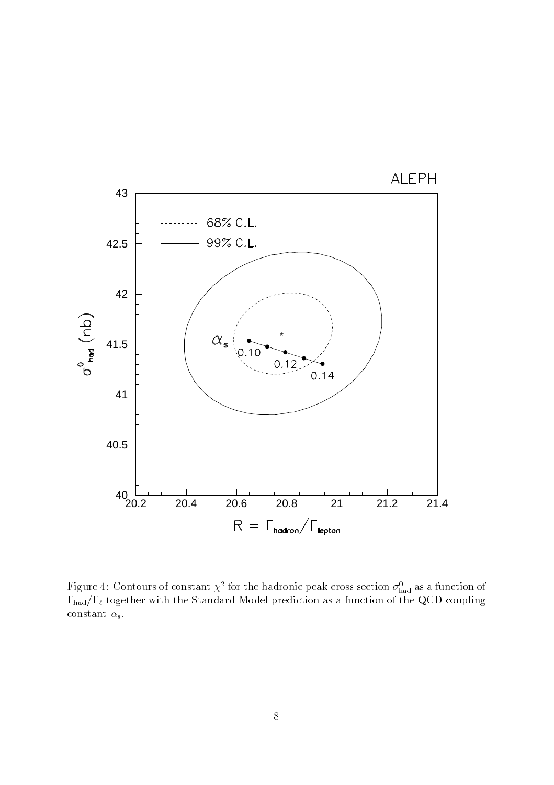

**r** igure 4: Contours of constant  $\chi$  - for the hadronic peak cross section  $\sigma_{\text{had}}$  as a function of  $\sim$  Had to the Standard Model model with the Standard Model prediction as a function of the  $\sigma$  coupling  $\sim$ constant  $\alpha_{\rm s}$ .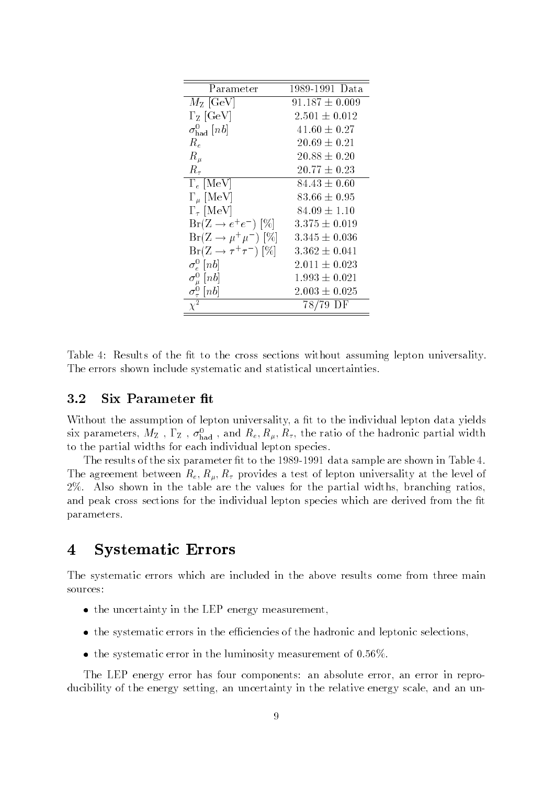| Parameter                                | 1989-1991 Data     |
|------------------------------------------|--------------------|
| $M_{\rm Z}$ [GeV]                        | $91.187 \pm 0.009$ |
| $\Gamma$ <sub>Z</sub> [GeV]              | $2.501 \pm 0.012$  |
| $\sigma_{\rm had}^0~[nb]$                | $41.60 \pm 0.27$   |
| $R_e$                                    | $20.69 \pm 0.21$   |
| $R_\mu$                                  | $20.88 \pm 0.20$   |
| $R_{\tau}$                               | $20.77 \pm 0.23$   |
| $\Gamma_e$ [MeV]                         | $84.43 \pm 0.60$   |
| $\Gamma_\mu$ [MeV]                       | $83.66 \pm 0.95$   |
| $\Gamma_{\tau}$ [MeV]                    | $84.09 \pm 1.10$   |
| $Br(Z \rightarrow e^+e^-)$ [%]           | $3.375 \pm 0.019$  |
| $Br(Z \to \mu^+ \mu^-) [\%]$             | $3.345 \pm 0.036$  |
| $Br(Z \to \tau^+\tau^-) [\%]$            | $3.362 \pm 0.041$  |
| $\sigma_e^0$ [n b]                       | $2.011 \pm 0.023$  |
| $\sigma_{n}^{0}\;[nb]$                   | $1.993 \pm 0.021$  |
| $\frac{\sigma_{\tau}^0}{\chi^2}$<br>[nb] | $2.003 \pm 0.025$  |
|                                          | 78/79 DF           |

Table 4: Results of the fit to the cross sections without assuming lepton universality. The errors shown include systematic and statistical uncertainties.

#### $3.2$ Six Parameter fit

Without the assumption of lepton universality, a fit to the individual lepton data yields six parameters,  $m_Z$  ,  $r_Z$  ,  $\sigma_{\rm had}$  , and  $n_e, n_\mu, n_\tau,$  the ratio of the hadronic partial width to the partial widths for each individual lepton species.

The results of the six parameter fit to the 1989-1991 data sample are shown in Table 4. The agreement between  $R_e, R_\mu, R_\tau$  provides a test of lepton universality at the level of 2%. Also shown in the table are the values for the partial widths, branching ratios, and peak cross sections for the individual lepton species which are derived from the fit parameters.

### 4 Systematic Errors

The systematic errors which are included in the above results come from three main sources:

- the uncertainty in the LEP energy measurement,
- the systematic errors in the efficiencies of the hadronic and leptonic selections,
- $\bullet$  the systematic error in the luminosity measurement of 0.56%.

The LEP energy error has four components: an absolute error, an error in reproducibility of the energy setting, an uncertainty in the relative energy scale, and an un-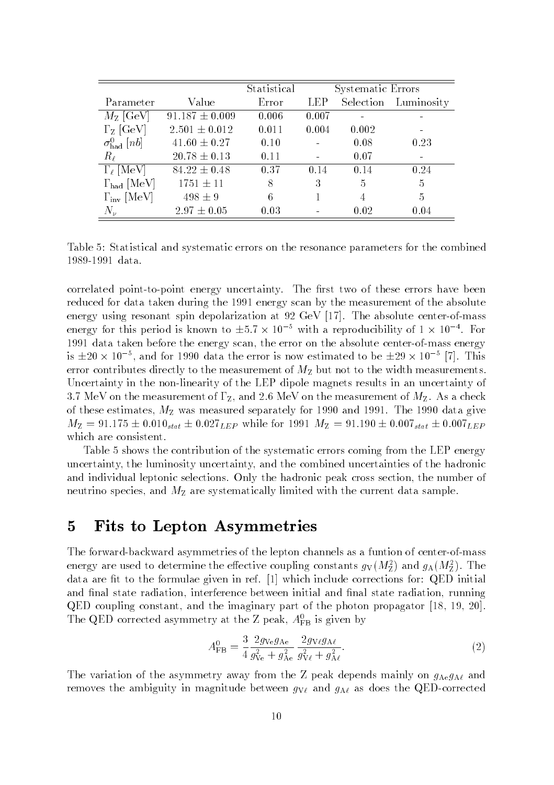|                              |                    | Statistical |            | Systematic Errors |                      |
|------------------------------|--------------------|-------------|------------|-------------------|----------------------|
| Parameter                    | Value              | Error       | <b>LEP</b> |                   | Selection Luminosity |
| $M_{\rm Z}$ [GeV]            | $91.187 \pm 0.009$ | 0.006       | 0.007      |                   |                      |
| $\Gamma$ <sub>Z</sub> [GeV]  | $2.501 \pm 0.012$  | 0.011       | 0.004      | 0.002             |                      |
| $\sigma_{\text{had}}^0$ [nb] | $41.60 \pm 0.27$   | 0.10        |            | 0.08              | 0.23                 |
| $R_{\ell}$                   | $20.78 \pm 0.13$   | 0.11        |            | 0.07              |                      |
| $\Gamma_{\ell}$ [MeV]        | $84.22 \pm 0.48$   | 0.37        | 0.14       | 0.14              | 0.24                 |
| $\Gamma_{\rm had}$ [MeV]     | $1751 \pm 11$      | 8           | 3          | $\frac{5}{2}$     | 5                    |
| $\Gamma_{\text{inv}}$ [MeV]  | $498 \pm 9$        | 6           |            | 4                 | 5                    |
| $N_{\nu}$                    | $2.97 \pm 0.05$    | 0.03        |            | 0.02              | 0.04                 |

Table 5: Statistical and systematic errors on the resonance parameters for the combined 1989-1991 data.

correlated point-to-point energy uncertainty. The first two of these errors have been reduced for data taken during the 1991 energy scan by the measurement of the absolute energy using resonant spin depolarization at 92 GeV [17]. The absolute center-of-mass energy for this period is known to  $\pm 5.7 \times 10^{-4}$  with a reproducibility of 1  $\times$  10  $^{-1}$ . For 1991 data taken before the energy scan, the error on the absolute center-of-mass energy is  $\pm$ 20  $\times$  10  $^{\circ}$  , and for 1990 data the error is now estimated to be  $\pm$ 29  $\times$  10  $^{\circ}$  [1]. This error contributes directly to the measurement of  $M<sub>Z</sub>$  but not to the width measurements. Uncertainty in the non-linearity of the LEP dipole magnets results in an uncertainty of 3.7 MeV on the measurement of  $\Gamma$ <sub>Z</sub>, and 2.6 MeV on the measurement of  $M$ <sub>Z</sub>. As a check of these estimates,  $M_Z$  was measured separately for 1990 and 1991. The 1990 data give  $M_Z = 91.175 \pm 0.010_{stat} \pm 0.027_{LEP}$  while for 1991  $M_Z = 91.190 \pm 0.007_{stat} \pm 0.007_{LEP}$ which are consistent.

Table 5 shows the contribution of the systematic errors coming from the LEP energy uncertainty, the luminosity uncertainty, and the combined uncertainties of the hadronic and individual leptonic selections. Only the hadronic peak cross section, the number of neutrino species, and  $M_{\rm Z}$  are systematically limited with the current data sample.

### 5 Fits to Lepton Asymmetries

The forward-backward asymmetries of the lepton channels as a funtion of center-of-mass energy are used to determine the effective coupling constants  $g_V(m_Z)$  and  $g_A(m_Z)$ . The data are fit to the formulae given in ref.  $[1]$  which include corrections for: QED initial and final state radiation, interference between initial and final state radiation, running QED coupling constant, and the imaginary part of the photon propagator [18, 19, 20]. The QED corrected asymmetry at the  $\Delta$  peak,  $A_{FB}$  is given by

$$
A_{\rm FB}^0 = \frac{3}{4} \frac{2g_{\rm Ve}g_{\rm Ae}}{g_{\rm Ve}^2 + g_{\rm Ae}^2} \frac{2g_{\rm Ve}g_{\rm Ae}}{g_{\rm Ve}^2 + g_{\rm Ae}^2}.
$$
 (2)

The variation of the asymmetry away from the Z peak depends mainly on  $g_{Ae}g_{A\ell}$  and removes the ambiguity in magnitude between  $g_{V\ell}$  and  $g_{A\ell}$  as does the QED-corrected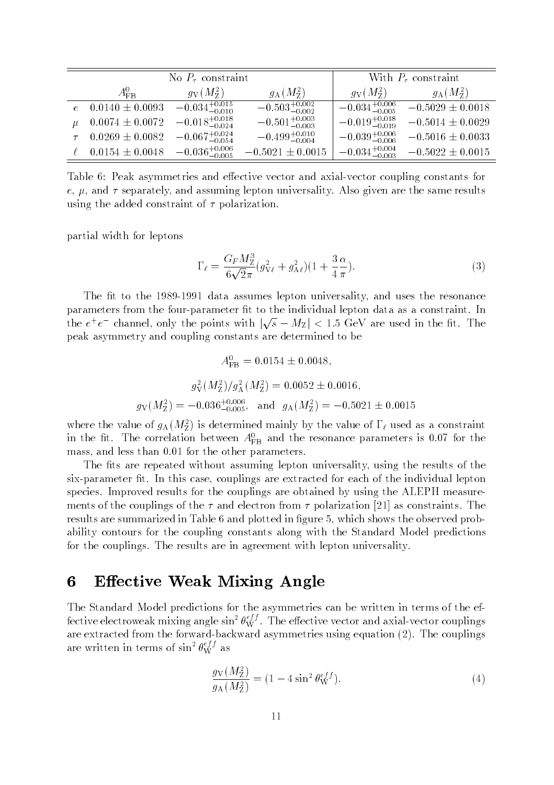|                     | No $P_{\tau}$ constraint   | With $P_{\tau}$ constraint |                            |                          |
|---------------------|----------------------------|----------------------------|----------------------------|--------------------------|
| $A_{\rm FB}^0$      | $q_{\rm V}(M_{\rm Z}^2)$   | $g_{\rm A}(M_{\rm Z}^2)$   | $q_V(M_Z^2)$               | $g_{\rm A}(M_{\rm Z}^2)$ |
| $0.0140 \pm 0.0093$ | $-0.034_{-0.010}^{+0.015}$ | $-0.503_{-0.002}^{+0.002}$ | $-0.034_{-0.005}^{+0.006}$ | $-0.5029 \pm 0.0018$     |
| $0.0074 \pm 0.0072$ | $-0.018_{-0.024}^{+0.018}$ | $-0.501^{+0.003}_{-0.003}$ | $-0.019_{-0.019}^{+0.018}$ | $-0.5014 \pm 0.0029$     |
| $0.0269 \pm 0.0082$ | $-0.067_{-0.054}^{+0.024}$ | $-0.499_{-0.004}^{+0.010}$ | $-0.039_{-0.006}^{+0.006}$ | $-0.5016 \pm 0.0033$     |
| $0.0154 \pm 0.0048$ | $-0.036_{-0.005}^{+0.006}$ | $-0.5021 \pm 0.0015$       | $-0.034_{-0.003}^{+0.004}$ | $-0.5022 \pm 0.0015$     |

Table 6: Peak asymmetries and effective vector and axial-vector coupling constants for  $e, \mu$ , and  $\tau$  separately, and assuming lepton universality. Also given are the same results using the added constraint of  $\tau$  polarization.

partial width for leptons

$$
\Gamma_{\ell} = \frac{G_F M_Z^3}{6\sqrt{2}\pi} (g_{V\ell}^2 + g_{A\ell}^2)(1 + \frac{3}{4}\frac{\alpha}{\pi}).
$$
\n(3)

The fit to the 1989-1991 data assumes lepton universality, and uses the resonance parameters from the four-parameter fit to the individual lepton data as a constraint. In the  $e^+e^-$  channel, only the points with  $|\sqrt{s}-M_Z|$  < 1.5 GeV are used in the fit. The peak asymmetry and coupling constants are determined to be

$$
A_{\text{FB}}^{0} = 0.0154 \pm 0.0048,
$$
  

$$
g_{\text{V}}^{2}(M_{\text{Z}}^{2})/g_{\text{A}}^{2}(M_{\text{Z}}^{2}) = 0.0052 \pm 0.0016,
$$
  

$$
g_{\text{V}}(M_{\text{Z}}^{2}) = -0.036_{-0.005}^{+0.006}, \text{ and } g_{\text{A}}(M_{\text{Z}}^{2}) = -0.5021 \pm 0.0015
$$

where the value of  $g_A(w_{\bar{Z}})$  is determined mainly by the value of  $1\,\ell$  used as a constraint in the  $m$ . The correlation between  $A_{FB}$  and the resonance parameters is 0.07 for the mass, and less than 0:01 for the other parameters.

The fits are repeated without assuming lepton universality, using the results of the six-parameter fit. In this case, couplings are extracted for each of the individual lepton species. Improved results for the couplings are obtained by using the ALEPH measurements of the couplings of the  $\tau$  and electron from  $\tau$  polarization [21] as constraints. The results are summarized in Table 6 and plotted in figure 5, which shows the observed probability contours for the coupling constants along with the Standard Model predictions for the couplings. The results are in agreement with lepton universality.

### 6 Effective Weak Mixing Angle

The Standard Model predictions for the asymmetries can be written in terms of the effective electroweak mixing angle  $\sin^2\theta_{\rm W}^{\rm y}$  . The effective vector and axial-vector couplings are extracted from the forward-backward asymmetries using equation (2). The couplings are written in terms of  $\sin^2\theta^{e_{J}^{\ast}{}_{J}}_{W}$  as

$$
\frac{g_V(M_Z^2)}{g_A(M_Z^2)} = (1 - 4\sin^2\theta_W^{eff}).\tag{4}
$$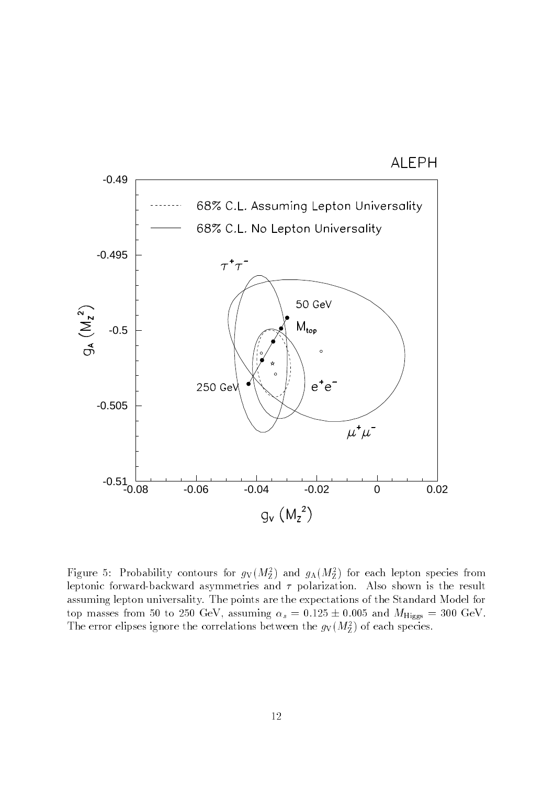



Figure 3: Probability contours for  $g_V(M_Z)$  and  $g_A(M_Z)$  for each lepton species from leptonic forward-backward asymmetries and  $\tau$  polarization. Also shown is the result assuming lepton universality. The points are the expectations of the Standard Model for top masses from 50 to 250 GeV, assuming  $\alpha_s = 0.125 \pm 0.005$  and  $M_{\text{Higgs}} = 300 \text{ GeV}$ . The error enpses ignore the correlations between the  $g_V(M_{\bar{Z}})$  of each species.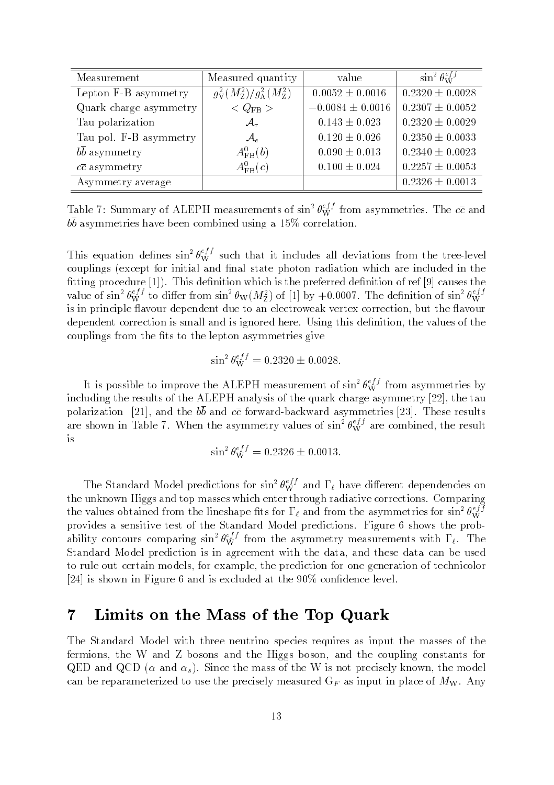| Measurement               | Measured quantity                                   | value                | $\sin^2\theta_{\rm W}^{eff}$ |
|---------------------------|-----------------------------------------------------|----------------------|------------------------------|
| Lepton F-B asymmetry      | $g^2_{\rm V}(M_{\rm Z}^2)/g^2_{\rm A}(M_{\rm Z}^2)$ | $0.0052 \pm 0.0016$  | $0.2320 \pm 0.0028$          |
| Quark charge asymmetry    | $\langle$ Q <sub>FB</sub> $>$                       | $-0.0084 \pm 0.0016$ | $0.2307 \pm 0.0052$          |
| Tau polarization          | $\mathcal{A}_{\tau}$                                | $0.143 \pm 0.023$    | $0.2320 \pm 0.0029$          |
| Tau pol. F-B asymmetry    | $\mathcal{A}_{e}$                                   | $0.120 \pm 0.026$    | $0.2350 \pm 0.0033$          |
| $bb$ asymmetry            | $A_{\text{FB}}^0(b)$                                | $0.090 \pm 0.013$    | $0.2340 \pm 0.0023$          |
| $c\overline{c}$ asymmetry | $A_{\text{FB}}^0(c)$                                | $0.100 \pm 0.024$    | $0.2257 \pm 0.0053$          |
| Asymmetry average         |                                                     |                      | $0.2326 \pm 0.0013$          |

Table 7: Summary of ALEPH measurements of  $\sin^2\theta_W^2$  from asymmetries. The  $c\bar{c}$  and  $b\overline{b}$  asymmetries have been combined using a 15% correlation.

This equation defines  $\sin^2\theta_{W}^{3/2}$  such that it includes all deviations from the tree-level couplings (except for initial and final state photon radiation which are included in the fitting procedure  $[1]$ ). This definition which is the preferred definition of ref  $[9]$  causes the value of sin<sup>2</sup>  $\theta_{W}^{y}$  to differ from sin<sup>2</sup>  $\theta_{W}(M_Z^z)$  of [1] by +0.0007. The definition of sin<sup>2</sup>  $\theta_{W}^{y}$ is in principle 
avour dependent due to an electroweak vertex correction, but the avour dependent correction is small and is ignored here. Using this definition, the values of the couplings from the fits to the lepton asymmetries give

$$
\sin^2 \theta_W^{eff} = 0.2320 \pm 0.0028.
$$

It is possible to improve the ALEPH measurement of  $\sin^2 \theta_W^{xy}$  from asymmetries by including the results of the ALEPH analysis of the quark charge asymmetry [22], the tau polarization [21], and the  $b\overline{b}$  and  $c\overline{c}$  forward-backward asymmetries [23]. These results are shown in Table 7. When the asymmetry values of  $\sin^2\theta_{\rm W}^{\rm xy}$  are combined, the result is

$$
\sin^2 \theta_W^{eff} = 0.2326 \pm 0.0013.
$$

The Standard Model predictions for sin<sup>2</sup>  $\theta_{\rm W}^{\rm y7}$  and  $\Gamma_{\ell}$  have different dependencies on the unknown Higgs and top masses which enter through radiative corrections. Comparing the values obtained from the lineshape fits for  $1_\ell$  and from the asymmetries for sin<sup>2</sup>  $\theta_{\rm W}^{\rm z,i}$ provides a sensitive test of the Standard Model predictions. Figure 6 shows the probability contours comparing sin<sup>2</sup>  $\theta_{W}^{s,j}$  from the asymmetry measurements with  $\Gamma_{\ell}$ . The Standard Model prediction is in agreement with the data, and these data can be used to rule out certain models, for example, the prediction for one generation of technicolor [24] is shown in Figure 6 and is excluded at the 90% confidence level.

### 7 Limits on the Mass of the Top Quark

The Standard Model with three neutrino species requires as input the masses of the fermions, the W and Z bosons and the Higgs boson, and the coupling constants for QED and QCD ( $\alpha$  and  $\alpha_s$ ). Since the mass of the W is not precisely known, the model can be reparameterized to use the precisely measured  $G_F$  as input in place of  $M_W$ . Any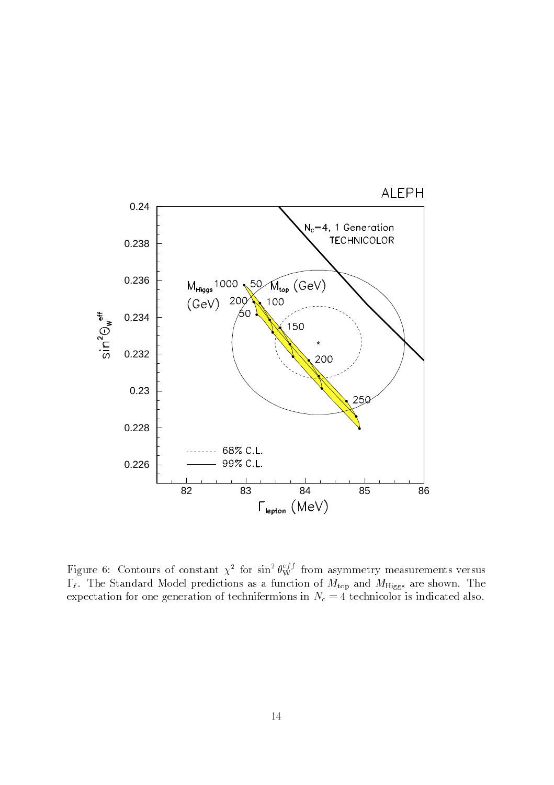

Figure 6: Contours of constant  $\chi^2$  for sin<sup>2</sup>  $\theta_{\rm W}^{\gamma\gamma}$  from asymmetry measurements versus  $\Gamma_{\ell}$ . The Standard Model predictions as a function of  $M_{\text{top}}$  and  $M_{\text{Higgs}}$  are shown. The expectation for one generation of technifermions in  $N_c = 4$  technicolor is indicated also.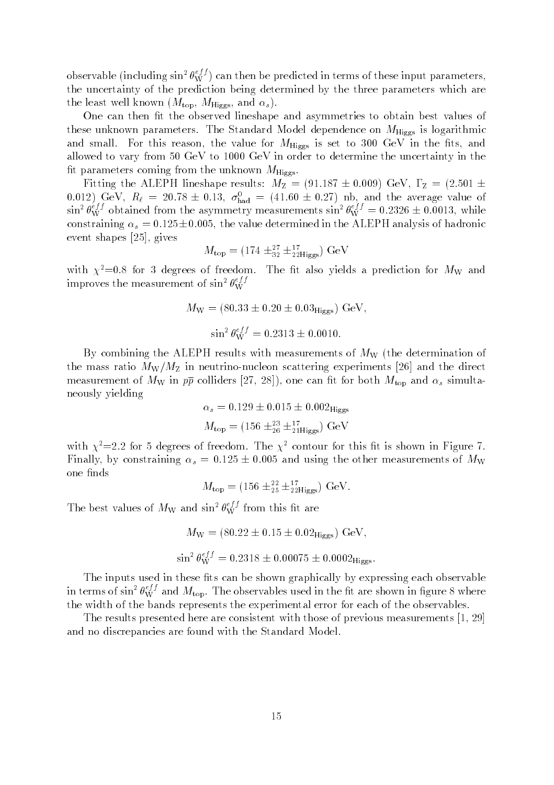observable (including  $\sin^2\theta_W^{*j}$  ) can then be predicted in terms of these input parameters, the uncertainty of the prediction being determined by the three parameters which are the least well known  $(M_{\text{top}}, M_{\text{Higgs}}, \text{and } \alpha_s)$ .

One can then fit the observed lineshape and asymmetries to obtain best values of these unknown parameters. The Standard Model dependence on  $M_{\text{Higgs}}$  is logarithmic and small. For this reason, the value for  $M_{\text{Higgs}}$  is set to 300 GeV in the fits, and allowed to vary from 50 GeV to 1000 GeV in order to determine the uncertainty in the fit parameters coming from the unknown  $M_{\text{Higgs}}$ .

Fitting the ALEPH lineshape results:  $M_Z = (91.187 \pm 0.009) \text{ GeV}, \Gamma_Z = (2.501 \pm 0.009)$ 0.012) GeV,  $R_{\ell} = 20.78 \pm 0.13$ ,  $\theta_{\text{had}} = (41.60 \pm 0.27)$  nb, and the average value of  $\sin^2\theta_{\rm W}^{32}$  obtained from the asymmetry measurements  $\sin^2\theta_{\rm W}^{32} = 0.2326 \pm 0.0013$ , while constraining  $\alpha_s = 0.125 \pm 0.005$ , the value determined in the ALEPH analysis of hadronic event shapes [25], gives

$$
M_{\rm top} = (174 \pm_{32}^{27} \pm_{22}^{17} )
$$
 GeV

with  $\chi^2=0.8$  for 3 degrees of freedom. The fit also yields a prediction for  $M_W$  and improves the measurement of  $\sin^2\theta_W^{*}$ 

$$
M_{\rm W} = (80.33 \pm 0.20 \pm 0.03_{\rm Higgs}) \text{ GeV},
$$
  

$$
\sin^2 \theta_{\rm W}^{eff} = 0.2313 \pm 0.0010.
$$

By combining the ALEPH results with measurements of  $M_W$  (the determination of the mass ratio  $M_{\rm W}/M_{\rm Z}$  in neutrino-nucleon scattering experiments [26] and the direct measurement of  $M_W$  in  $p\bar{p}$  colliders [27, 28]), one can fit for both  $M_{top}$  and  $\alpha_s$  simultaneously yielding

$$
\alpha_s = 0.129 \pm 0.015 \pm 0.002_{\text{Higgs}}
$$

$$
M_{\text{top}} = (156 \pm_{26}^{23} \pm_{21}^{17} \text{Higgs}) \text{ GeV}
$$

with  $\chi^2$ =2.2 for 5 degrees of freedom. The  $\chi^2$  contour for this fit is shown in Figure 7. Finally, by constraining  $\alpha_s = 0.125 \pm 0.005$  and using the other measurements of  $M_W$ one finds

$$
M_{\rm top} = (156 \pm_{25}^{22} \pm_{22}^{17} \text{Higgs}) \text{ GeV}.
$$

The best values of  $M_W$  and sin<sup>2</sup>  $\theta_W^{3j}$  from this fit are

$$
M_{\rm W} = (80.22 \pm 0.15 \pm 0.02_{\rm Higgs}) \text{ GeV},
$$
  
\n
$$
\sin^2 \theta_{\rm W}^{eff} = 0.2318 \pm 0.00075 \pm 0.0002_{\rm Higgs}.
$$

The inputs used in these fits can be shown graphically by expressing each observable in terms of  $\sin^2\theta_W^{s_f}$  and  $M_{\rm top}$ . The observables used in the fit are shown in figure 8 where the width of the bands represents the experimental error for each of the observables.

The results presented here are consistent with those of previous measurements [1, 29] and no discrepancies are found with the Standard Model.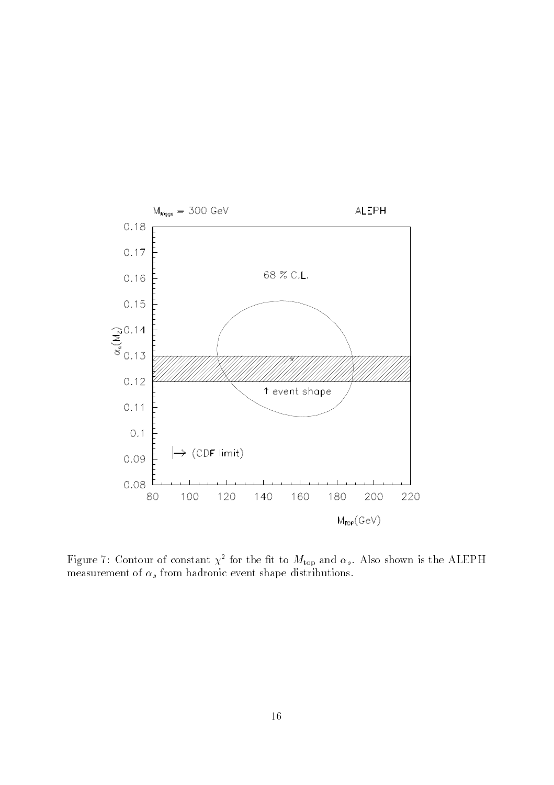

rigure  $\iota$ : Contour of constant  $\chi$  for the intrto- $m_{\rm top}$  and  $\alpha_s$ . Also shown is the ALEPH measurement of  $\alpha_s$  from hadronic event shape distributions.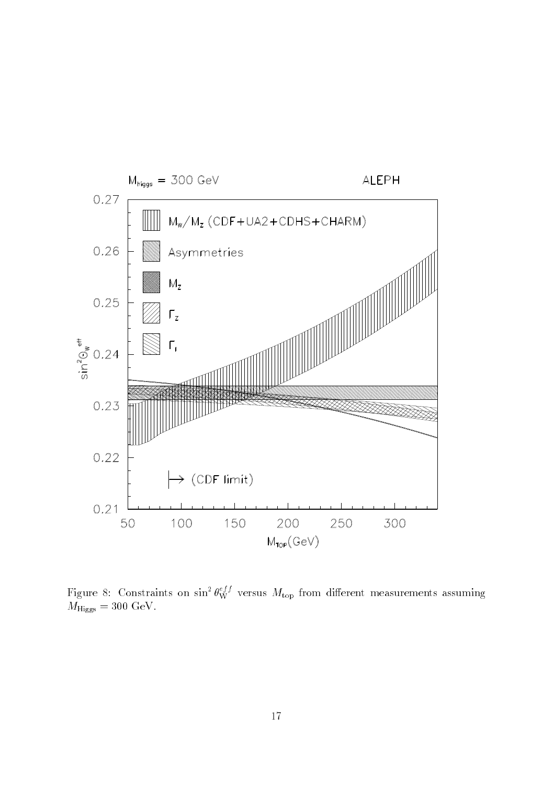

Figure 8: Constraints on  $\sin^2\theta^{\vee}_{W}$  versus  $M_{\rm top}$  from different measurements assuming  $M_{\text{Higgs}} = 300 \text{ GeV}.$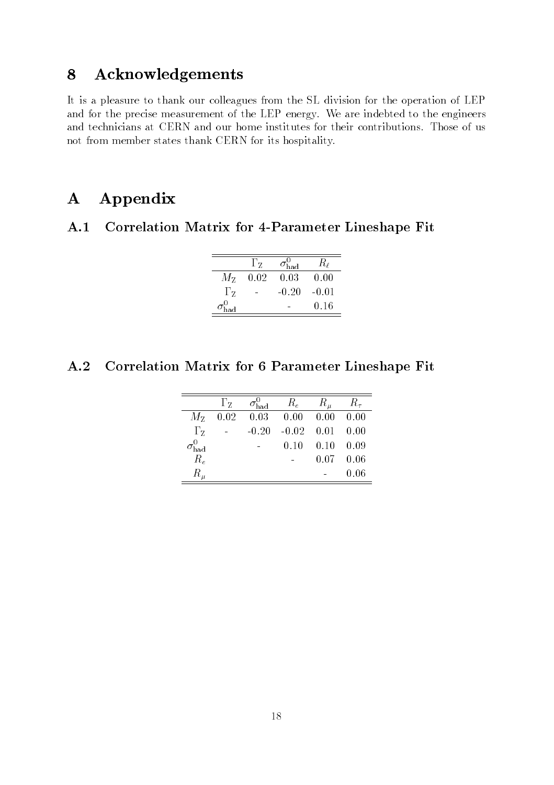## 8 Acknowledgements

It is a pleasure to thank our colleagues from the SL division for the operation of LEP and for the precise measurement of the LEP energy. We are indebted to the engineers and technicians at CERN and our home institutes for their contributions. Those of us not from member states thank CERN for its hospitality.

## A Appendix

#### Correlation Matrix for 4-Parameter Lineshape Fit  $A.1$

|                       | $\Gamma$ z | $\sigma_{\rm had}^0$ | $R_\ell$ |
|-----------------------|------------|----------------------|----------|
| $M_{\rm Z}$           | 0.02       | 0.03                 | 0.00     |
| $\Gamma$ <sub>z</sub> |            | $-0.20$              | $-0.01$  |
|                       |            |                      | 0.16     |

## A.2 Correlation Matrix for 6 Parameter Lineshape Fit

|              | $\Gamma$ <sub>Z</sub> | $\sigma_{\rm had}^{\rm o}$ | $R_e$                 | $R_\mu$                      | $R_{\tau}$ |
|--------------|-----------------------|----------------------------|-----------------------|------------------------------|------------|
|              | $M_{Z}$ 0.02          |                            | $0.03$ 0.00 0.00 0.00 |                              |            |
| $\Gamma_{Z}$ |                       | $-0.20$                    |                       | $-0.02$ $0.01$ $0.00$        |            |
|              |                       |                            |                       | $0.10 \quad 0.10 \quad 0.09$ |            |
| $R_e$        |                       |                            |                       | $0.07 \quad 0.06$            |            |
| $R_\mu$      |                       |                            |                       |                              | 0.06       |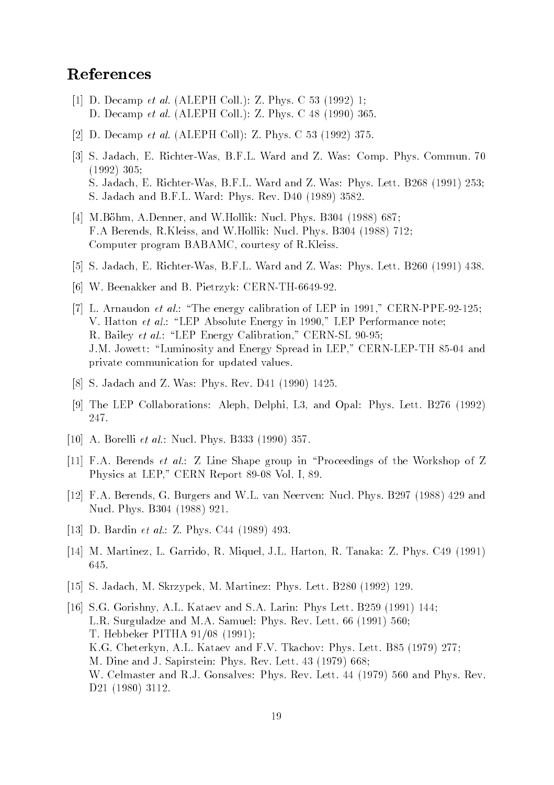### References

- [1] D. Decamp et al. (ALEPH Coll.): Z. Phys. C 53 (1992) 1; D. Decamp et al. (ALEPH Coll.): Z. Phys. C 48 (1990) 365.
- [2] D. Decamp et al. (ALEPH Coll): Z. Phys. C 53 (1992) 375.
- [3] S. Jadach, E. Richter-Was, B.F.L. Ward and Z. Was: Comp. Phys. Commun. 70 (1992) 305; S. Jadach, E. Richter-Was, B.F.L. Ward and Z. Was: Phys. Lett. B268 (1991) 253; S. Jadach and B.F.L. Ward: Phys. Rev. D40 (1989) 3582.
- [4] M.Bohm, A.Denner, and W.Hollik: Nucl. Phys. B304 (1988) 687; F.A Berends, R.Kleiss, and W.Hollik: Nucl. Phys. B304 (1988) 712; Computer program BABAMC, courtesy of R.Kleiss.
- [5] S. Jadach, E. Richter-Was, B.F.L. Ward and Z. Was: Phys. Lett. B260 (1991) 438.
- [6] W. Beenakker and B. Pietrzyk: CERN-TH-6649-92.
- [7] L. Arnaudon *et al.*: "The energy calibration of LEP in 1991," CERN-PPE-92-125; V. Hatton *et al.*: "LEP Absolute Energy in 1990," LEP Performance note; R. Bailey et al.: "LEP Energy Calibration," CERN-SL 90-95; J.M. Jowett: "Luminosity and Energy Spread in LEP," CERN-LEP-TH 85-04 and private communication for updated values.
- [8] S. Jadach and Z. Was: Phys. Rev. D41 (1990) 1425.
- [9] The LEP Collaborations: Aleph, Delphi, L3, and Opal: Phys. Lett. B276 (1992) 247.
- [10] A. Borelli *et al.*: Nucl. Phys. B333 (1990) 357.
- [11] F.A. Berends et al.: Z Line Shape group in \Proceedings of the Workshop of Z Physics at LEP," CERN Report 89-08 Vol. I, 89.
- [12] F.A. Berends, G. Burgers and W.L. van Neerven: Nucl. Phys. B297 (1988) 429 and Nucl. Phys. B304 (1988) 921.
- [13] D. Bardin *et al.*: Z. Phys. C44 (1989) 493.
- [14] M. Martinez, L. Garrido, R. Miquel, J.L. Harton, R. Tanaka: Z. Phys. C49 (1991) 645.
- [15] S. Jadach, M. Skrzypek, M. Martinez: Phys. Lett. B280 (1992) 129.
- [16] S.G. Gorishny, A.L. Kataev and S.A. Larin: Phys Lett. B259 (1991) 144; L.R. Surguladze and M.A. Samuel: Phys. Rev. Lett. 66 (1991) 560; T. Hebbeker PITHA 91/08 (1991); K.G. Cheterkyn, A.L. Kataev and F.V. Tkachov: Phys. Lett. B85 (1979) 277; M. Dine and J. Sapirstein: Phys. Rev. Lett. 43 (1979) 668; W. Celmaster and R.J. Gonsalves: Phys. Rev. Lett. 44 (1979) 560 and Phys. Rev. D21 (1980) 3112.